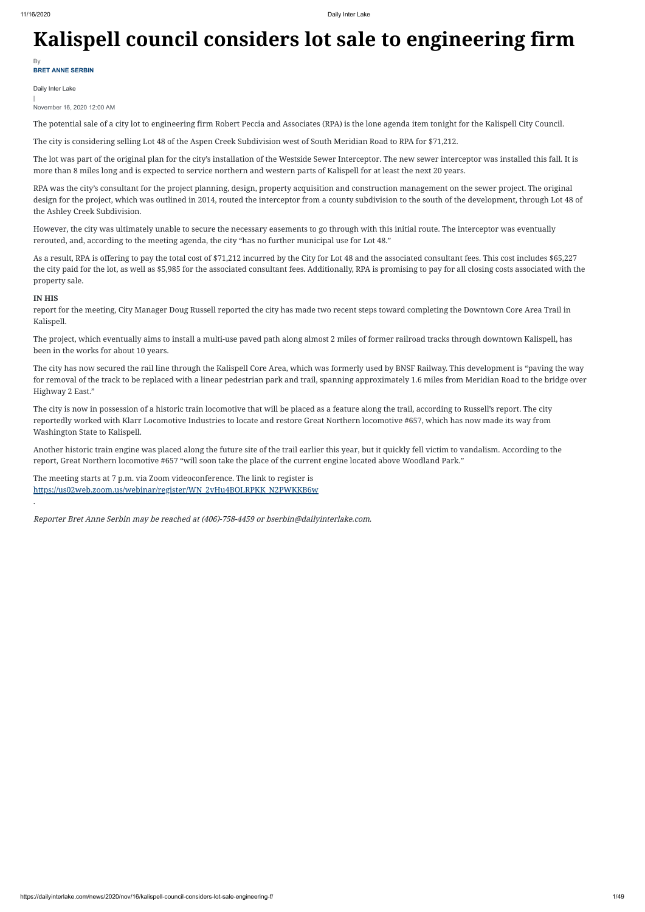# **Kalispell council considers lot sale to engineering firm**

Daily Inter Lake

| November 16, 2020 12:00 AM

The potential sale of a city lot to engineering firm Robert Peccia and Associates (RPA) is the lone agenda item tonight for the Kalispell City Council.

The city is considering selling Lot 48 of the Aspen Creek Subdivision west of South Meridian Road to RPA for \$71,212.

The lot was part of the original plan for the city's installation of the Westside Sewer Interceptor. The new sewer interceptor was installed this fall. It is more than 8 miles long and is expected to service northern and western parts of Kalispell for at least the next 20 years.

RPA was the city's consultant for the project planning, design, property acquisition and construction management on the sewer project. The original design for the project, which was outlined in 2014, routed the interceptor from a county subdivision to the south of the development, through Lot 48 of the Ashley Creek Subdivision.

However, the city was ultimately unable to secure the necessary easements to go through with this initial route. The interceptor was eventually rerouted, and, according to the meeting agenda, the city "has no further municipal use for Lot 48."

As a result, RPA is offering to pay the total cost of \$71,212 incurred by the City for Lot 48 and the associated consultant fees. This cost includes \$65,227 the city paid for the lot, as well as \$5,985 for the associated consultant fees. Additionally, RPA is promising to pay for all closing costs associated with the property sale.

**BRET ANNE SERBIN** By

## **IN HIS**

report for the meeting, City Manager Doug Russell reported the city has made two recent steps toward completing the Downtown Core Area Trail in Kalispell.

The project, which eventually aims to install a multi-use paved path along almost 2 miles of former railroad tracks through downtown Kalispell, has been in the works for about 10 years.

The city has now secured the rail line through the Kalispell Core Area, which was formerly used by BNSF Railway. This development is "paving the way for removal of the track to be replaced with a linear pedestrian park and trail, spanning approximately 1.6 miles from Meridian Road to the bridge over Highway 2 East."

The city is now in possession of a historic train locomotive that will be placed as a feature along the trail, according to Russell's report. The city reportedly worked with Klarr Locomotive Industries to locate and restore Great Northern locomotive #657, which has now made its way from Washington State to Kalispell.

Another historic train engine was placed along the future site of the trail earlier this year, but it quickly fell victim to vandalism. According to the report, Great Northern locomotive #657 "will soon take the place of the current engine located above Woodland Park."

The meeting starts at 7 p.m. via Zoom videoconference. The link to register is [https://us02web.zoom.us/webinar/register/WN\\_2vHu4BOLRPKK\\_N2PWKKB6w](https://us02web.zoom.us/webinar/register/WN_2vHu4BOLRPKK_N2PWKKB6w)

.

Reporter Bret Anne Serbin may be reached at (406)-758-4459 or bserbin@dailyinterlake.com.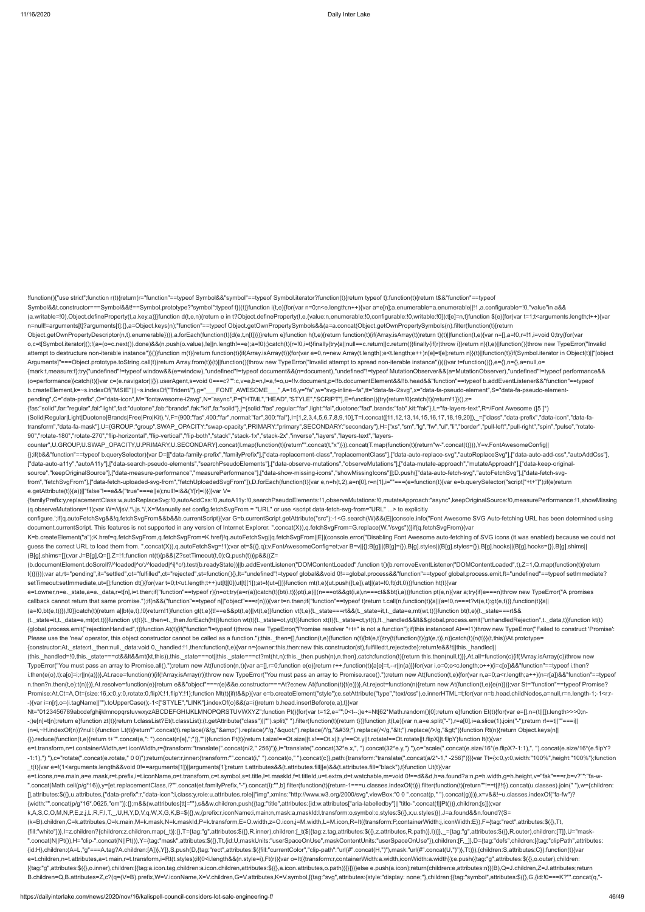!function(){"use strict";function r(t){return(r="function"==typeof Symbol&&"symbol"==typeof Symbol.iterator?function(t){return typeof t}:function(t){return t&&"function"==typeof

Symbol&&t.constructor===Symbol&&t!==Symbol.prototype?"symbol":typeof t})(t)}function i(t,e){for(var n=0;n<e.length;n++){var a=e[n];a.enumerable=a.enumerable|!1,a.configurable=!0,"value"in a&& (a.writable=!0),Object.defineProperty(t,a.key,a)}}function d(t,e,n){return e in t?Object.defineProperty(t,e,{value:n,enumerable:!0,configurable:!0,writable:!0}):t[e]=n,t}function \$(e){for(var t=1;t<arguments.length;t++){var

n=null!=arguments[t]?arguments[t]:{},a=Object.keys(n);"function"==typeof Object.getOwnPropertySymbols&&(a=a.concat(Object.getOwnPropertySymbols(n).filter(function(t){return Object.getOwnPropertyDescriptor(n,t).enumerable}))),a.forEach(function(t){d(e,t,n[t])})}return e}function h(t,e){return function(t){if(Array.isArray(t))return t}(t)||function(t,e){var n=[],a=!0,r=!1,i=void 0;try{for(var o,c=t[Symbol.iterator]();!(a=(o=c.next()).done)&&(n.push(o.value),!e||n.length!==e);a=!0);}catch(t){r=!0,i=t}finally{try{a||null==c.return||c.return()}finally{ff(r)throw i}}return n}(t,e)||function(){throw new TypeError("I attempt to destructure non-iterable instance")}()}function m(t){return function(t){if(Array.isArray(t)){for(var e=0,n=new Array(t.length);e<t.length;e++)n[e]=t[e];return n}}(t)||function(t){if(Symbol.iterator in Object(t)|

Arguments]"===Object.prototype.toString.call(t))return Array.from(t)}(t)||function(){throw new TypeError("Invalid attempt to spread non-iterable instance")}()}var t=function(){},e={},n={},a=null,o= {mark:t,measure:t};try{"undefined"!=typeof window&&(e=window),"undefined"!=typeof document&&(n=document),"undefined"!=typeof MutationObserver&&(a=MutationObserver),"undefined"!=typeof performance&& (o=performance)}catch(t){}var c=(e.navigator||{}).userAgent,s=void 0===c?"":c,v=e,b=n,l=a,f=o,u=!!v.document,p=!!b.documentElement&&!!b.head&&"function"==typeof b.addEventListener&&"function"==typeof b.createElement,k=~s.indexOf("MSIE")||~s.indexOf("Trident/"),g="\_\_\_FONT\_AWESOME\_\_\_",A=16,y="fa",w="svg-inline--fa",tt="data-fa-i2svg",x="data-fa-pseudo-element",S="data-fa-pseudo-elementpending",C="data-prefix",O="data-icon",M="fontawesome-i2svg",N="async",P=["HTML","HEAD","STYLE","SCRIPT"],E=function(){try{return!0}catch(t){return!1}}(),z= {fas:"solid",far:"regular",fal:"light",fad:"duotone",fab:"brands",fak:"kit",fa:"solid"},j={solid:"fas",regular:"far",light:"fal",duotone:"fad",brands:"fab",kit:"fak"},L="fa-layers-text",R=/Font Awesome ([5 ]\*) (Solid|Regular|Light|Duotone|Brands|Free|Pro|Kit).\*/,F={900:"fas",400:"far",normal:"far",300:"fal"},I=[1,2,3,4,5,6,7,8,9,10],T=I.concat([11,12,13,14,15,16,17,18,19,20]),\_=["class","data-prefix","data-icon","data-fatransform","data-fa-mask"],U={GROUP:"group",SWAP\_OPACITY:"swap-opacity",PRIMARY:"primary",SECONDARY:"secondary"},H=["xs","sm","lg","fw","ul","li","border","pull-left","pull-right","spin","pulse","rotate-

(q.observeMutations=!1);var W=/\/js\/.\*\.js.\*/,X='Manually set config.fetchSvgFrom = "URL" or use <script data-fetch-svg-from="URL" ...> to explicitly configure.';if(q.autoFetchSvg&&!q.fetchSvgFrom&&b&&b.currentScript){var G=b.currentScript.getAttribute("src");-1<G.search(W)&&(E||console.info("Font Awesome SVG Auto-fetching URL has been determined using document.currentScript. This features is not supported in any version of Internet Explorer. ".concat(X)),q.fetchSvgFrom=G.replace(W,"/svgs"))}if(q.fetchSvgFrom){var K=b.createElement("a");K.href=q.fetchSvgFrom,q.fetchSvgFrom=K.href}!q.autoFetchSvg||q.fetchSvgFrom||E||(console.error("Disabling Font Awesome auto-fetching of SVG icons (it was enabled) because we could not guess the correct URL to load them from. ".concat(X)),q.autoFetchSvg=!1);var et=\$({},q);v.FontAwesomeConfig=et;var B=v||{};B[g]||(B[g]={}),B[g].styles||(B[g].styles={}),B[g].hooks||(B[g].hooks={}),B[g].shims||

90","rotate-180","rotate-270","flip-horizontal","flip-vertical","flip-both","stack","stack-1x","stack-2x","inverse","layers","layers-text","layerscounter",U.GROUP,U.SWAP\_OPACITY,U.PRIMARY,U.SECONDARY].concat(I.map(function(t){return"".concat(t,"x")})).concat(T.map(function(t){return"w-".concat(t)})),Y=v.FontAwesomeConfig|| {};if(b&&"function"==typeof b.querySelector){var D=[["data-family-prefix","familyPrefix"],["data-replacement-class","replacementClass"],["data-auto-replace-svg","autoReplaceSvg"],["data-auto-add-css","autoAddCss"],

(t.\_state=it,t.\_data=e,mt(xt,t))}function yt(t){t.\_then=t.\_then.forEach(ht)}function wt(t){t.\_state=ot,yt(t)}function xt(t){t.\_state=ct,yt(t),lt.\_handled&&lt&&global.process.emit("unhandledRejection",t.\_data,t)}function kt {global.process.emit("rejectionHandled",t)}function At(t){if("function"!=typeof t)throw new TypeError("Promise resolver "+t+" is not a function");if(this instanceof At==!1)throw new TypeError("Failed to construct 'Promise':

["data-auto-a11y","autoA11y"],["data-search-pseudo-elements","searchPseudoElements"],["data-observe-mutations","observeMutations"],["data-mutate-approach","mutateApproach"],["data-keep-originalsource","keepOriginalSource"],["data-measure-performance","measurePerformance"],["data-show-missing-icons","showMissingIcons"]];D.push(["data-auto-fetch-svg","autoFetchSvg"],["data-fetch-svgfrom","fetchSvgFrom"],["data-fetch-uploaded-svg-from","fetchUploadedSvgFrom"]),D.forEach(function(t){var e,n=h(t,2),a=n[0],r=n[1],i=""===(e=function(t){var e=b.querySelector("script["+t+"]");if(e)return e.getAttribute(t)}(a))||"false"!==e&&("true"===e||e);null!=i&&(Y[r]=i)})}var V= {familyPrefix:y,replacementClass:w,autoReplaceSvg:!0,autoAddCss:!0,autoA11y:!0,searchPseudoElements:!1,observeMutations:!0,mutateApproach:"async",keepOriginalSource:!0,measurePerformance:!1,showMissing

Nt="0123456789abcdefghijklmnopqrstuvwxyzABCDEFGHIJKLMNOPQRSTUVWXYZ";function Pt(){for(var t=12,e="";0<t--;)e+=Nt[62\*Math.random()|0];return e}function Et(t){for(var e=[],n=(t||[]).length>>>0;n--;)e[n]=t[n];return e}function zt(t){return t.classList?Et(t.classList):(t.getAttribute("class")||"").split(" ").filter(function(t){return t})}function jt(t,e){var n,a=e.split("-"),r=a[0],i=a.slice(1).join("-");return r!== (n=i,~H.indexOf(n))?null:i}function Lt(t){return"".concat(t).replace(/&/g,"&").replace(/"/g,""").replace(//g,"'").replace(/</g,"&lt;").replace(/>/g,"&gt;")}function Rt(n){return Object.keys(n|| {}).reduce(function(t,e){return t+"".concat(e,": ").concat(n[e],";")},"")}function Ft(t){return t.size!==Ot.size||t.x!==Ot.x||t.y!==Ot.y||t.rotate!==Ot.rotate||t.flipX||t.flipY}function It(t){var e=t.transform,n=t.containerWidth,a=t.iconWidth,r={transform:"translate(".concat(n/2," 256)")},i="translate(".concat(32\*e.x,", ").concat(32\*e.y,") "),o="scale(".concat(e.size/16\*(e.flipX?-1:1),", ").concat(e.size/16\*(e.flip -1:1),") ").c="rotate(".concat(e.rotate," 0 0)"):return{outer:r.inner:{transform:"".concat(i," ").concat(o," ").concat(c)}.path:{transform:"translate(".concat(a/2\*-1,"-256)"}}}}var Tt={x:0,y:0,width:"100%",height:"100%"};f \_t(t){var e=!(1<arguments.length&&void 0!==arguments[1])||arguments[1];return t.attributes&&(t.attributes.fill||e)&&(t.attributes.fill="black"),t}function Ut(t){var e=t.icons,n=e.main,a=e.mask,r=t.prefix,i=t.iconName,o=t.transform,c=t.symbol,s=t.title,l=t.maskId,f=t.titleId,u=t.extra,d=t.watchable,m=void 0!==d&&d,h=a.found?a:n,p=h.width,g=h.height,v="fak"===r,b=v?"":"fa-w-

(B[g].shims=[]);var J=B[g],Q=[],Z=!1;function nt(t){p&&(Z?setTimeout(t,0):Q.push(t))}p&&((Z= (b.documentElement.doScroll?/^loaded|^c/:/^loaded|^i|^c/).test(b.readyState))||b.addEventListener("DOMContentLoaded",function t(){b.removeEventListener("DOMContentLoaded",t),Z=1,Q.map(function(t){return t()})}));var at,rt="pending",it="settled",ot="fulfilled",ct="rejected",st=function(){},lt="undefined"!=typeof global&&void 0!==global.process&&"function"==typeof global.process.emit,ft="undefined"==typeof setImmediate? setTimeout:setImmediate,ut=[];function dt(){for(var t=0;t<ut.length;t++)ut[t][0](ut[t][1]);at=!(ut=[])}function mt(t,e){ut.push([t,e]),at||(at=!0,ft(dt,0))}function ht(t){var

e=t.owner,n=e.\_state,a=e.\_data,r=t[n],i=t.then;if("function"==typeof r){n=ot;try{a=r(a)}catch(t){bt(i,t)}}pt(i,a)||(n===ot&&gt(i,a),n===ct&&bt(i,a))}function pt(e,n){var a;try{if(e===n)throw new TypeError("A promises

".concat(Math.ceil(p/g\*16)),y=[et.replacementClass,i?"".concat(et.familyPrefix,"-").concat(i):"",b].filter(function(t){return-1===u.classes.indexOf(t)}).filter(function(t){return"!==t|!!!t}).concat(u.classes).join(""),w={c [],attributes:\$({},u.attributes,{"data-prefix":r,"data-icon":i,class:y,role:u.attributes.role||"img",xmlns:"http://www.w3.org/2000/svg",viewBox:"0 0 ".concat(p," ").concat(g)})},x=v&&!~u.classes.indexOf("fa-fw")? {width:"".concat(p/g\*16\*.0625,"em")}:{};m&&(w.attributes[tt]=""),s&&w.children.push({tag:"title",attributes:{id:w.attributes["aria-labelledby"]||"title-".concat(f||Pt())},children:[s]});var k,A,S,C,O,M,N,P,E,z,j,L,R,F,I,T,\_,U,H,Y,D,V,q,W,X,G,K,B=\$({},w,{prefix:r,iconName:i,main:n,mask:a,maskId:l,transform:o,symbol:c,styles:\$({},x,u.styles)}),J=a.found&&n.found?(S= (k=B).children,C=k.attributes,O=k.main,M=k.mask,N=k.maskId,P=k.transform,E=O.width,z=O.icon,j=M.width,L=M.icon,R=It({transform:P,containerWidth:j,iconWidth:E}),F={tag:"rect",attributes:\$({},Tt, {fill:"white"})}.l=z.children?{children.z.children.map( t)}:{}.T={taq:"q".attributes:\${{}.R.inner).children:[ t(\${{taq:z.taq.attributes:\${{}.R.attributes:\${}}.z.attributes.\${}}.z.attributes:\${}.R.puter}}})}. ={taq:"q".attr ".concat(N||Pt()),H="clip-".concat(N||Pt()),Y={tag:"mask",attributes:\$({},Tt,{id:U,maskUnits:"userSpaceOnUse",maskContentUnits:"userSpaceOnUse"}),children:[F,\_]},D={tag:"defs",children:[{tag:"clipPath",attributes: {id:H},children:(A=L,"g"===A.tag?A.children:[A])},Y]},S.push(D,{tag:"rect",attributes:\$({fill:"currentColor","clip-path":"url(#".concat(H,")"),mask:"url(#".concat(U,")")},Tt)}),{children:S,attributes:C}):function(t){var e=t.children,n=t.attributes,a=t.main,r=t.transform,i=Rt(t.styles);if(0<i.length&&(n.style=i),Ft(r)){var o=It({transform:r,containerWidth:a.width,iconWidth:a.width});e.push({tag:"g",attributes:\$({},o.outer),children: [{tag:"g",attributes:\$({},o.inner),children:[{tag:a.icon.tag,children:a.icon.children,attributes:\$({},a.icon.attributes,o.path)}]}]})}else e.push(a.icon);return{children:e,attributes:n}}(B),Q=J.children,Z=J.attributes;return B.children=Q,B.attributes=Z,c?(q=(V=B).prefix,W=V.iconName,X=V.children,G=V.attributes,K=V.symbol,[{tag:"svg",attributes:{style:"display: none;"},children:[{tag:"symbol",attributes:\$({},G,{id:!0===K?"".concat(q,"-

callback cannot return that same promise.");if(n&&("function"==typeof n||"object"===r(n))){var t=n.then;if("function"==typeof t)return t.call(n,function(t){a||(a=!0,n===t?vt(e,t):gt(e,t))},function(t){a||

Please use the 'new' operator, this object constructor cannot be called as a function.");this.\_then=[],function(t,e){function n(t){bt(e,t)}try{t(function(t){gt(e,t)},n)}catch(t){n(t)}}(t,this)}At.prototype=

 $(a=!0, b t(e,t))\}$ ,!0}}catch(t){return a||bt(e,t),!0}return!1}function gt(t,e){t!==e&&pt(t,e)||vt(t,e)}function vt(t,e){t.\_state===rt&&(t.\_state=it,t.\_data=e,mt(wt,t))}function bt(t,e){t.\_state===rt&&

{constructor:At,\_state:rt,\_then:null,\_data:void 0,\_handled:!1,then:function(t,e){var n={owner:this,then:new this.constructor(st),fulfilled:t,rejected:e};return!e&&!t||this.\_handled|| (this.\_handled=!0,this.\_state===ct&&lt&&mt(kt,this)),this.\_state===ot||this.\_state===ct?mt(ht,n):this.\_then.push(n),n.then},catch:function(t){return this.then(null,t)}},At.all=function(c){if(!Array.isArray(c))throw new TypeError("You must pass an array to Promise.all().");return new At(function(n,t){var a=[],r=0;function e(e){return r++,function(t){a[e]=t,--r||n(a)}}for(var i,o=0;o<c.length;o++)(i=c[o])&&"function"==typeof i.then? i.then(e(o),t):a[o]=i;r||n(a)})},At.race=function(r){if(!Array.isArray(r))throw new TypeError("You must pass an array to Promise.race().");return new At(function(t,e){for(var n,a=0;a<r.length;a++)(n=r[a])&&"function"==typeof n.then?n.then(t,e):t(n)})},At.resolve=function(e){return e&&"object"===r(e)&&e.constructor===At?e:new At(function(t){t(e)})},At.reject=function(n){return new At(function(t,e){e(n)})};var St="function"==typeof Promise? Promise:At,Ct=A,Ot={size:16,x:0,y:0,rotate:0,flipX:!1,flipY:!1};function Mt(t){if(t&&p){var e=b.createElement("style");e.setAttribute("type","text/css"),e.innerHTML=t;for(var n=b.head.childNodes,a=null,r=n.length-1;-1<r;r- -){var i=n[r],o=(i.tagName||"").toUpperCase();-1<["STYLE","LINK"].indexOf(o)&&(a=i)}return b.head.insertBefore(e,a),t}}var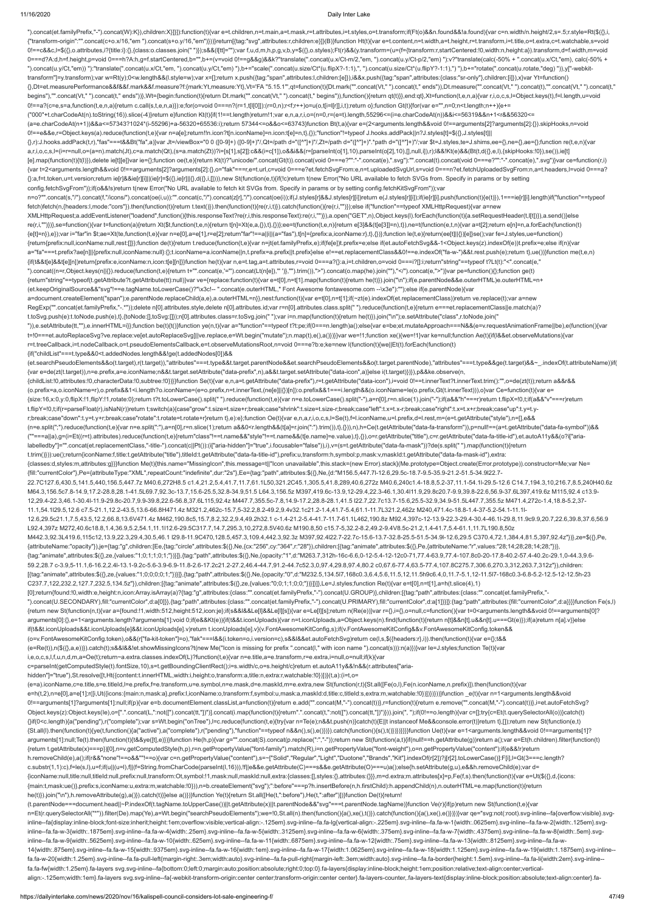").concat(et.familyPrefix,"-").concat(W):K}),children:X}]}]):function(t){var e=t.children,n=t.main,a=t.mask,r=t.attributes,i=t.styles,o=t.transform;if(Ft(o)&&n.found&&!a.found){var c=n.width/n.height/2,s=.5;r.style=Rt(\${{} {"transform-origin":"".concat(c+o.x/16,"em ").concat(s+o.y/16,"em")}))}return[{tag:"svg",attributes:r,children:e}]}(B)}function Ht(t){var e=t.content,n=t.width,a=t.height,r=t.transform,i=t.title,o=t.extra,c=t.watchable,s=v 0!==c&&c,l=\$({},o.attributes,i?{title:i}:{},{class:o.classes.join(" ")});s&&(l[tt]="");var f,u,d,m,h,p,g,v,b,y=\$({},o.styles);Ft(r)&&(y.transform=(u=(f={transform:r,startCentered:!0,width:n,height:a}).transform,d=f.width,m 0===d?A:d,h=f.height,p=void 0===h?A:h,g=f.startCentered,b="",b+=(v=void 0!==g&&g)&&k?"translate(".concat(u.x/Ct-m/2,"em, ").concat(u.y/Ct-p/2,"em) "):v?"translate(calc(-50% + ".concat(u.x/Ct,"em), calc(-50% + ").concat(u.y/Ct,"em)) "):"translate(".concat(u.x/Ct,"em, ").concat(u.y/Ct,"em) "),b+="scale(".concat(u.size/Ct\*(u.flipX?-1:1),", ").concat(u.size/Ct\*(u.flipY?-1:1),") "),b+="rotate(".concat(u.rotate,"deg) ")),y["-webkittransform"]=y.transform);var w=Rt(y);0<w.length&&(l.style=w);var x=[];return x.push({tag:"span",attributes:l,children:[e]}),i&&x.push({tag:"span",attributes:{class:"sr-only"},children:[i]}),x}var Yt=function() {},Dt=et.measurePerformance&&f&&f.mark&&f.measure?f:{mark:Yt,measure:Yt},Vt='FA "5.15.1"',qt=function(t){Dt.mark("".concat(Vt," ").concat(t," ends")),Dt.measure("".concat(Vt," ").concat(t),"".concat(Vt," ").concat(t," begins"),"".concat(Vt," ").concat(t," ends"))},Wt={begin:function(t){return Dt.mark("".concat(Vt," ").concat(t," begins")),function({feturn qt(t)}},end:qt},Xt=function(t,e,n,a){var r,i,o,c,s,l=Object.keys(t),f=l.length,u=v 0!==a?(c=e,s=a,function(t,e,n,a){return c.call(s,t,e,n,a)}):e;for(o=void 0===n?(r=1,t[l[0]]):(r=0,n);r<f;r++)o=u(o,t[i=l[r]],i,t);return o};function Gt(t){for(var e="",n=0;n<t.length;n++){e+= ("000"+t.charCodeAt(n).toString(16)).slice(-4)}return e}function Kt(t){if(1!==t.length)return!1;var e,n,a,r,i,o=(n=0,r=(e=t).length,55296<=(i=e.charCodeAt(n))&&i<=56319&&n+1<r&&56320<= (a=e.charCodeAt(n+1))&&a<=57343?1024\*(i-55296)+a-56320+65536:i);return 57344<=o&&o<=63743}function Bt(t,a){var e=(2<arguments.length&&void 0!==arguments[2]?arguments[2]:{}).skipHooks,n=void 0!==e&&e,r=Object.keys(a).reduce(function(t,e){var n=a[e];return!!n.icon?t[n.iconName]=n.icon:t[e]=n,t},{});"function"!=typeof J.hooks.addPack||n?J.styles[t]=\$({},J.styles[t]|| {},r):J.hooks.addPack(t,r),"fas"===t&&Bt("fa",a)}var Jt=/viewBox="0 0 ([0-9]+) ([0-9]+)"/,Qt=/path d="([^"]+)"/,Zt=/path d="([^"]+)".\*path d="([^"]+)"/;var \$t=J.styles,te=J.shims,ee={},ne={},ae={};function re(t,e,n){var a,r,i,o,c,s,l=(i=r=null,o=(a=n).match(Jt),c=a.match(Qt),(s=a.match(Zt))?i=[s[1],s[2]]:c&&(i=c[1]),o&&i&&(r=[parseInt(o[1],10),parseInt(o[2],10),[],null,i]),r);l&&!Kt(e)&&(Bt(t,d({},e,l),{skipHooks:!0}),se()),ie[t] [e].map(function(t){t(l)}),delete ie[t][e]}var ie={};function oe(t,e){return Kt(t)?"unicode/".concat(Gt(t)).concat(void 0===e?"":"-".concat(e),".svg"):"".concat(t).concat(toid 0===e?"":"-".concat(oid 0===e?"":"-".concat(e) {var t=2<arguments.length&&void 0!==arguments[2]?arguments[2]:{},o="fak"===r,e=t.url,c=void 0===e?et.fetchSvgFrom:e,n=t.uploadedSvgUrl,s=void 0===n?et.fetchUploadedSvgFrom:n,a=t.headers,l=void 0===a? {}:a,f=t.token,u=t.version;return ie[r]&&ie[r][i]||(ie[r]=\$({},ie[r]||{},d({},i,[]))),new St(function(e,t){if(!c)return t(new Error("No URL available to fetch SVGs from. Specify in params or by setting config.fetchSvgFrom"));if(o&&!s)return t(new Error("No URL available to fetch kit SVGs from. Specify in params or by setting config.fetchKitSvgFrom"));var n=o?"".concat(s,"/").concat(f,"/icons/").concat(6(i,iu)):"".concat(oe(i,u)):"".concat(c,"/").concat(z[r],"/").concat(oe(i));if(J.styles[r]&&J.styles[r][i])return e(J.styles[r][i]);if(ie[r][i].push(function({{(t)})},1===ie[ fetch)fetch(n,{headers:l,mode:"cors"}).then(function(t){return t.text()}).then(function(t){re(r,i,t)}).catch(function(){re(r,i,"")});else if("function"==typeof XMLHttpRequest){var a=new XMLHttpRequest;a.addEventListener("loadend",function(){this.responseText?re(r,i,this.responseText):re(r,i,"")}),a.open("GET",n),Object.keys(l).forEach(function(t){a.setRequestHeader(t,l[t])}),a.send()}else re(r,i,"")})},se=function(){var t=function(a){return Xt(\$t,function(t,e,n){return t[n]=Xt(e,a,{}),t},{})};ee=t(function(t,e,n){return e[3]&&(t[e[3]]=n),t}),ne=t(function(e,t,n){var a=t[2];return e[n]=n,a.forEach(function(t) {e[t]=n}),e});var i="far"in \$t;ae=Xt(te,function(t,e){var n=e[0],a=e[1],r=e[2];return"far"!==a||i||(a="fas"),t[n]={prefix:a,iconName:r},t},{})};function le(t,e){return(ee[t]||{})[e]}se();var fe=J.styles,ue=function() {return{prefix:null,iconName:null,rest:[]}};function de(t){return t.reduce(function(t,e){var n=jt(et.familyPrefix,e);if(fe[e])t.prefix=e;else if(et.autoFetchSvg&&-1<Object.keys(z).indexOf(e))t.prefix=e;else if(n){var a="fa"===t.prefix?ae[n]||{prefix:null,iconName:null}:{};t.iconName=a.iconName||n,t.prefix=a.prefix||t.prefix}else e!==et.replacementClass&&0!==e.indexOf("fa-w-")&&t.rest.push(e);return t},ue())}function me(t,e,n) {if(t&&t[e]&&t[e][n])return{prefix:e,iconName:n,icon:t[e][n]}}function he(t){var n,e=t.tag,a=t.attributes,r=void 0===a?{}:a,i=t.children,o=void 0===i?[]:i;return"string"==typeof t?Lt(t):"<".concat(e," ").concat((n=r,Object.keys(n||{}).reduce(function(t,e){return t+"".concat(e,'="').concat(Lt(n[e]),'" ')},"").trim()),">").concat(o.map(he).join(""),"</").concat(e,">")}var pe=function(){};function ge(t) {return"string"==typeof(t.getAttribute?t.getAttribute(tt):null)}var ve={replace:function(t){var e=t[0],n=t[1].map(function(t){return he(t)}).join("\n");if(e.parentNode&&e.outerHTML)e.outerHTML=n+ (et.keepOriginalSource&&"svg"!==e.tagName.toLowerCase()?"\x3c!-- ".concat(e.outerHTML," Font Awesome fontawesome.com --\x3e"):"");else if(e.parentNode){var a=document.createElement("span");e.parentNode.replaceChild(a,e),a.outerHTML=n}},nest:function(t){var e=t[0],n=t[1];if(~zt(e).indexOf(et.replacementClass))return ve.replace(t);var a=new RegExp("".concat(et.familyPrefix,"-.\*"));delete n[0].attributes.style,delete n[0].attributes.id;var r=n[0].attributes.class.split(" ").reduce(function(t,e){return e===et.replacementClass||e.match(a)? t.toSvg.push(e):t.toNode.push(e),t},{toNode:[],toSvg:[]});n[0].attributes.class=r.toSvg.join(" ");var i=n.map(function(t){return he(t)}).join("\n");e.setAttribute("class",r.toNode.join(" ")),e.setAttribute(tt,""),e.innerHTML=i}};function be(t){t()}function ye(n,t){var a="function"==typeof t?t:pe;if(0===n.length)a();else{var e=be;et.mutateApproach===N&&(e=v.requestAnimationFrame||be),e(function(){var t=!0===et.autoReplaceSvg?ve.replace:ve[et.autoReplaceSvg]||ve.replace,e=Wt.begin("mutate");n.map(t),e(),a()})}}var we=!1;function xe(){we=!1}var ke=null;function Ae(t){if(l&&et.observeMutations){var r=t.treeCallback,i=t.nodeCallback,o=t.pseudoElementsCallback,e=t.observeMutationsRoot,n=void 0===e?b:e;ke=new l(function(t){we||Et(t).forEach(function(t) {if("childList"===t.type&&0<t.addedNodes.length&&!ge(t.addedNodes[0])&& (et.searchPseudoElements&&o(t.target),r(t.target)),"attributes"===t.type&&t.target.parentNode&&et.searchPseudoElements&&o(t.target.parentNode),"attributes"===t.type&&ge(t.target)&&~\_.indexOf(t.attributeName))if( {var e=de(zt(t.target)),n=e.prefix,a=e.iconName;n&&t.target.setAttribute("data-prefix",n),a&&t.target.setAttribute("data-icon",a)}else i(t.target)})}),p&&ke.observe(n, {childList:!0,attributes:!0,characterData:!0,subtree:!0})}}function Se(t){var e,n,a=t.getAttribute("data-prefix"),r=t.getAttribute("data-icon"),i=void 0!==t.innerText?t.innerText.trim():"",o=de(zt(t));return a&&r&& (o.prefix=a,o.iconName=r),o.prefix&&1<i.length?o.iconName=(e=o.prefix,n=t.innerText,(ne[e]||{})[n]):o.prefix&&1===i.length&&(o.iconName=le(o.prefix,Gt(t.innerText))),o}var Ce=function(t){var e= {size:16,x:0,y:0,flipX:!1,flipY:!1,rotate:0};return t?t.toLowerCase().split(" ").reduce(function(t,e){var n=e.toLowerCase().split("-"),a=n[0],r=n.slice(1).join("-");if(a&&"h"===r)return t.flipX=!0,t;if(a&&"v"===r)return t.flipY=!0,t;if(r=parseFloat(r),isNaN(r))return t;switch(a){case"grow":t.size=t.size+r;break;case"shrink":t.size=t.size-r;break;case"left":t.x=t.x-r;break;case"right":t.x=t.x+r;break;case"up":t.y=t.yr;break;case"down":t.y=t.y+r;break;case"rotate":t.rotate=t.rotate+r}return t},e):e};function Oe(t){var e,n,a,r,i,o,c,s,l=Se(t),f=l.iconName,u=l.prefix,d=l.rest,m=(e=t.getAttribute("style"),n=[],e&& (n=e.split(";").reduce(function(t,e){var n=e.split(":"),a=n[0],r=n.slice(1);return a&&0<r.length&&(t[a]=r.join(":").trim()),t},{})),n),h=Ce(t.getAttribute("data-fa-transform")),p=null!==(a=t.getAttribute("data-fa-symbol"))&& (""===a||a),g=(i=Et((r=t).attributes).reduce(function(t,e){return"class"!==t.name&&"style"!==t.name&&(t[e.name]=e.value),t},{}),o=r.getAttribute("title"),c=r.getAttribute("data-fa-title-id"),et.autoA11y&&(o?i["arialabelledby"]="".concat(et.replacementClass,"-title-").concat(c||Pt()):(i["aria-hidden"]="true",i.focusable="false")),i),v=(s=t.getAttribute("data-fa-mask"))?de(s.split(" ").map(function(t){return t.trim()})):ue();return{iconName:f,title:t.getAttribute("title"),titleId:t.getAttribute("data-fa-title-id"),prefix:u,transform:h,symbol:p,mask:v,maskId:t.getAttribute("data-fa-mask-id"),extra: {classes:d,styles:m,attributes:g}}}function Me(t){this.name="MissingIcon",this.message=t||"Icon unavailable",this.stack=(new Error).stack}(Me.prototype=Object.create(Error.prototype)).constructor=Me;var Ne= {fill:"currentColor"},Pe={attributeType:"XML",repeatCount:"indefinite",dur:"2s"},Ee={tag:"path",attributes:\$({},Ne,{d:"M156.5,447.7l-12.6,29.5c-18.7-9.5-35.9-21.2-51.5-34.9l22.7- 22.7C127.6,430.5,141.5,440,156.5,447.7z M40.6,272H8.5 c1.4,21.2,5.4,41.7,11.7,61.1L50,321.2C45.1,305.5,41.8,289,40.6,272z M40.6,240c1.4-18.8,5.2-37,11.1-54.1l-29.5-12.6 C14.7,194.3,10,216.7,8.5,240H40.6z M64.3,156.5c7.8-14.9,17.2-28.8,28.1-41.5L69.7,92.3c-13.7,15.6-25.5,32.8-34.9,51.5 L64.3,156.5z M397,419.6c-13.9,12-29.4,22.3-46.1,30.4l11.9,29.8c20.7-9.9,39.8-22.6,56.9-37.6L397,419.6z M115,92.4 c13.9- 12,29.4-22.3,46.1-30.4l-11.9-29.8c-20.7,9.9-39.8,22.6-56.8,37.6L115,92.4z M447.7,355.5c-7.8,14.9-17.2,28.8-28.1,41.5 l22.7,22.7c13.7-15.6,25.5-32.9,34.9-51.5L447.7,355.5z M471.4,272c-1.4,18.8-5.2,37- 11.1,54.1l29.5,12.6 c7.5-21.1,12.2-43.5,13.6-66.8H471.4z M321.2,462c-15.7,5-32.2,8.2-49.2,9.4v32.1c21.2-1.4,41.7-5.4,61.1-11.7L321.2,462z M240,471.4c-18.8-1.4-37-5.2-54.1-11.1l-12.6,29.5c21.1,7.5,43.5,12.2,66.8,13.6V471.4z M462,190.8c5,15.7,8.2,32.2,9.4,49.2h32.1 c-1.4-21.2-5.4-41.7-11.7-61.1L462,190.8z M92.4,397c-12-13.9-22.3-29.4-30.4-46.1l-29.8,11.9c9.9,20.7,22.6,39.8,37.6,56.9 L92.4,397z M272,40.6c18.8,1.4,36.9,5.2,54.1,11.1l12.6-29.5C317.7,14.7,295.3,10,272,8.5V40.6z M190.8,50 c15.7-5,32.2-8.2,49.2-9.4V8.5c-21.2,1.4-41.7,5.4-61.1,11.7L190.8,50z M442.3,92.3L419.6,115c12,13.9,22.3,29.4,30.5,46.1 l29.8-11.9C470,128.5,457.3,109.4,442.3,92.3z M397,92.4l22.7-22.7c-15.6-13.7-32.8-25.5-51.5-34.9l-12.6,29.5 C370.4,72.1,384.4,81.5,397,92.4z"})},ze=\$({},Pe, {attributeName:"opacity"}),je={tag:"g",children:[Ee,{tag:"circle",attributes:\$({},Ne,{cx:"256",cy:"364",r:"28"}),children:[{tag:"animate",attributes:\$({},Pe,{attributeName:"r",values:"28;14;28;28;14;28;"})}, {tag:"animate",attributes:\$({},ze,{values:"1;0;1;1;0;1;"})}]},{tag:"path",attributes:\$({},Ne,{opacity:"1",d:"M263.7,312h-16c-6.6,0-12-5.4-12-12c0-71,77.4-63.9,77.4-107.8c0-20-17.8-40.2-57.4-40.2c-29.1,0-44.3,9.6- 59.2,28.7 c-3.9,5-11.1,6-16.2,2.4l-13.1-9.2c-5.6-3.9-6.9-11.8-2.6-17.2c21.2-27.2,46.4-44.7,91.2-44.7c52.3,0,97.4,29.8,97.4,80.2 c0,67.6-77.4,63.5-77.4,107.8C275.7,306.6,270.3,312,263.7,312z"}),children: [{tag:"animate",attributes:\$({},ze,{values:"1;0;0;0;0;1;"})}]},{tag:"path",attributes:\$({},Ne,{opacity:"0",d:"M232.5,134.5l7,168c0.3,6.4,5.6,11.5,12,11.5h9c6.4,0,11.7-5.1,12-11.5l7-168c0.3-6.8-5.2-12.5-12-12.5h-23 C237.7,122,232.2,127.7,232.5,134.5z"}),children:[{tag:"animate",attributes:\$({},ze,{values:"0;0;1;1;0;0;"})}]}]},Le=J.styles;function Re(t){var e=t[0],n=t[1],a=h(t.slice(4),1) [0];return{found:!0,width:e,height:n,icon:Array.isArray(a)?{tag:"g",attributes:{class:"".concat(et.familyPrefix,"-").concat(U.GROUP)},children:[{tag:"path",attributes:{class:"".concat(et.familyPrefix,"- ").concat(U.SECONDARY),fill:"currentColor",d:a[0]}},{tag:"path",attributes:{class:"".concat(et.familyPrefix,"-").concat(U.PRIMARY),fill:"currentColor",d:a[1]}}]}:{tag:"path",attributes:{fill:"currentColor",d:a}}}}function {return new St(function(n,t){var a={found:!1,width:512,height:512,icon:je};if(s&&l&&Le[l]&&Le[l][s]){var e=Le[l][s];return n(Re(e))}var r={},i={},o=null,c=function(){var t=0<arguments.length&&void 0!==arguments[0]? arguments[0]:{},e=1<arguments.length?arguments[1]:void 0;if(e&&Kt(e)){if(t&&t.iconUploads){var n=t.iconUploads,a=Object.keys(n).find(function(t){return n[t]&&n[t].u&&n[t].u===Gt(e)});if(a)return n[a].v}}else if(t&&t.iconUploads&&t.iconUploads[e]&&t.iconUploads[e].v)return t.iconUploads[e].v}(v.FontAwesomeKitConfig,s);if(v.FontAwesomeKitConfig&&v.FontAwesomeKitConfig.token&& (o=v.FontAwesomeKitConfig.token),o&&(r["fa-kit-token"]=o),"fak"===l&&(i.token=o,i.version=c),s&&l&&et.autoFetchSvg)return ce(l,s,\$({headers:r},i)).then(function(t){var e={};t&& (e=Re(t)),n(\$({},a,e))}).catch(t);s&&l&&!et.showMissingIcons?t(new Me("Icon is missing for prefix ".concat(l," with icon name ").concat(s))):n(a)})}var Ie=J.styles;function Te(t){var i,e,o,c,s,l,f,u,n,d,m,a=Oe(t);return~a.extra.classes.indexOf(L)?function(t,e){var n=e.title,a=e.transform,r=e.extra,i=null,o=null;if(k){var c=parseInt(getComputedStyle(t).fontSize,10),s=t.getBoundingClientRect();i=s.width/c,o=s.height/c}return et.autoA11y&&!n&&(r.attributes["ariahidden"]="true"),St.resolve([t,Ht({content:t.innerHTML,width:i,height:o,transform:a,title:n,extra:r,watchable:!0})])}(t,a):(i=t,o= (e=a).iconName,c=e.title,s=e.titleId,l=e.prefix,f=e.transform,u=e.symbol,n=e.mask,d=e.maskId,m=e.extra,new St(function(r,t){St.all([Fe(o,l),Fe(n.iconName,n.prefix)]).then(function(t){var e=h(t,2),n=e[0],a=e[1];r([i,Ut({icons:{main:n,mask:a},prefix:l,iconName:o,transform:f,symbol:u,mask:a,maskId:d,title:c,titleId:s,extra:m,watchable:!0})])})}))}function \_e(t){var n=1<arguments.length&&void 0!==arguments[1]?arguments[1]:null;if(p){var e=b.documentElement.classList,a=function(t){return e.add("".concat(M,"-").concat(M,);=function(t){return e.remove("".concat(M,"-").concat(M,"-").concat(M,"-").concat(M,"-").conc Object.keys(z):Object.keys(le),o=[".".concat(L,":not([").concat(tt,"])")].concat(i.map(function(t){return".".concat(t,":not([").concat(tt,"])")}).join(", ");if(0!==o.length){var c=[];try{c=Et(t.querySelectorAll(o))}catch(t {}if(0<c.length){a("pending"),r("complete");var s=Wt.begin("onTree"),l=c.reduce(function(t,e){try{var n=Te(e);n&&t.push(n)}catch(t){E||t instanceof Me&&console.error(t)}return t},[]);return new St(function(e,t) {St.all(l).then(function(t){ye(t,function(){a("active"),a("complete"),r("pending"),"function"==typeof n&&n(),s(),e()})}).catch(function(){s(),t()})})}}}}function Ue(t){var e=1<arguments.length&&void 0!==arguments[1]? arguments[1]:null;Te(t).then(function(t){t&&ye([t],e)})}function He(h,p){var g="".concat(S).concat(p.replace(":","-"));return new St(function(a,t){if(null!==h.getAttribute(g))return a();var e=Et(h.children).filter(function {return t.getAttribute(x)===p})[0],n=v.getComputedStyle(h,p),r=n.getPropertyValue("font-family").match(R),i=n.getPropertyValue("font-weight"),o=n.getPropertyValue("content");if(e&&!r)return h.removeChild(e),a();if(r&&"none"!==o&&""!==o){var c=n.getPropertyValue("content"),s=~["Solid","Regular","Light","Duotone","Brands","Kit"].indexOf(r[2])?j[r[2].toLowerCase()]:F[i],l=Gt(3===c.length? c.substr(1,1):c),f=le(s,l),u=f;if(u||(u=l),f||(f=String.fromCharCode(parseInt(l,16))),!f||e&&e.getAttribute(C)===s&&e.getAttribute(O)===u)a();else{h.setAttribute(g,u),e&&h.removeChild(e);var d= {iconName:null,title:null,titleId:null,prefix:null,transform:Ot,symbol:!1,mask:null,maskId:null,extra:{classes:[],styles:{},attributes:{}}},m=d.extra;m.attributes[x]=p,Fe(f,s).then(function(t){var e=Ut(\$({},d,{icons: {main:t,mask:ue()},prefix:s,iconName:u,extra:m,watchable:!0})),n=b.createElement("svg");":before"===p?h.insertBefore(n,h.firstChild):h.appendChild(n),n.outerHTML=e.map(function(t){return he(t)}).join("\n"),h.removeAttribute(g),a()}).catch(t)}}else a()})}function Ye(t){return St.all([He(t,":before"),He(t,":after")])}function De(t){return! (t.parentNode===document.head||~P.indexOf(t.tagName.toUpperCase())||t.getAttribute(x)||t.parentNode&&"svg"===t.parentNode.tagName)}function Ve(r){if(p)return new St(function(t,e){var n=Et(r.querySelectorAll("\*")).filter(De).map(Ye),a=Wt.begin("searchPseudoElements");we=!0,St.all(n).then(function(){a(),xe(),t()}).catch(function(){a(),xe(),e()}}}}}var qe="svg:not(:root).svg-inline--fa{overflow:visible}.s inline--fa{display:inline-block;font-size:inherit;height:1em;overflow:visible;vertical-align:-.125em}.svg-inline--fa.fa-lg{vertical-align:-.225em}.svg-inline--fa.fa-w-1{width:.0625em}.svg-inline--fa.fa-w-2{width:.125em}.sv inline--fa.fa-w-3{width:.1875em}.svg-inline--fa.fa-w-4{width:.25em}.svg-inline--fa.fa-w-5{width:.3125em}.svg-inline--fa.fa-w-6{width:.3125em}.svg-inline--fa.fa-w-6{width:.375em}.svg-inline--fa.fa-w-7{width:.4375em}.svg-inl inline--fa.fa-w-9{width:.5625em}.svg-inline--fa.fa-w-10{width:.625em}.svg-inline--fa.fa-w-11{width:.6875em}.svg-inline--fa.fa-w-12{width:.75em}.svg-inline--fa.fa-w-12{width:.75em}.svg-inline--fa.fa-w-13{width:.8125em}.svg-14{width:.875em}.svg-inline--fa.fa-w-15{width:.9375em}.svg-inline--fa.fa-w-16{width:1em}.svg-inline--fa.fa-w-17{width:1.0625em}.svg-inline--fa.fa-w-18{width:1.125em}.svg-inline--fa.fa-w-19{width:1.1875em}.svg-inline- fa.fa-w-20{width:1.25em}.svg-inline--fa.fa-pull-left{margin-right:.3em;width:auto}.svg-inline--fa.fa-pull-right{margin-left:.3em;width:auto}.svg-inline--fa.fa-border{height:1.5em}.svg-inline--fa.fa-li{width:2em}.svg-inline- fa.fa-fw{width:1.25em}.fa-layers svg.svg-inline--fa{bottom:0;left:0;margin:auto;position:absolute;right:0;top:0}.fa-layers{display:inline-block;height:1em;position:relative;text-align:center;verticalalign:-.125em;width:1em}.fa-layers svg.svg-inline--fa{-webkit-transform-origin:center center;transform-origin:center center}.fa-layers-counter,.fa-layers-text{display:inline-block;position:absolute;text-align:center}.fa-

https://dailyinterlake.com/news/2020/nov/16/kalispell-council-considers-lot-sale-engineering-f/ 47/49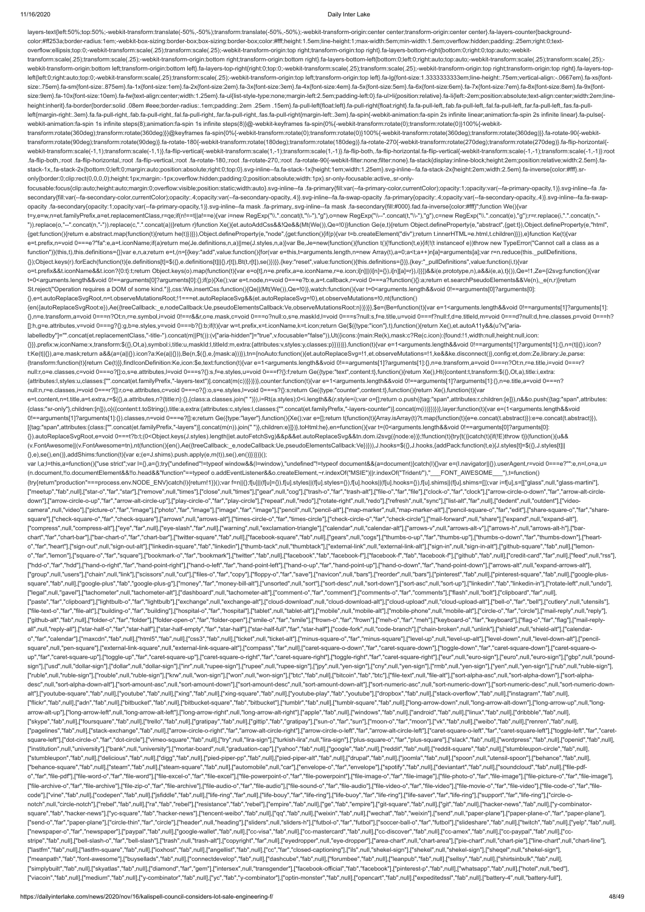layers-text{left:50%;top:50%;-webkit-transform:translate(-50%,-50%);transform:translate(-50%,-50%);-webkit-transform-origin:center center;transform-origin:center center}.fa-layers-counter{background-

color:#ff253a;border-radius:1em;-webkit-box-sizing:border-box;box-sizing:border-box;color:#fff;height:1.5em;line-height:1;max-width:5em;min-width:1.5em;overflow:hidden;padding:.25em;right:0;textoverflow:ellipsis;top:0;-webkit-transform:scale(.25);transform:scale(.25);-webkit-transform-origin:top right;transform-origin:top right}.fa-layers-bottom-right{bottom:0;right:0;top:auto;-webkittransform:scale(.25);transform:scale(.25);-webkit-transform-origin:bottom right;transform-origin:bottom right}.fa-layers-bottom-left{bottom:0;left:0;right:auto;top:auto;-webkit-transform:scale(.25);transform:scale(.25); webkit-transform-origin:bottom left;transform-origin:bottom left;transform-origin:bottom left}.fa-layers-top-right{right:0;top:0;-webkit-transform:scale(.25);transform:scale(.25);-webkit-transform-origin:top right;transfor left{left:0;right:auto;top:0;-webkit-transform:scale(.25);transform:scale(.25);-webkit-transform-origin:top left;transform-origin:top left}.fa-lg{font-size:1.3333333333333333339m;line-height:.75em;vertical-align:-.0667em}. size:.75em}.fa-sm{font-size:.875em}.fa-1x{font-size:1em}.fa-2x{font-size:2em}.fa-3x{font-size:3em}.fa-4x{font-size:4em}.fa-5x{font-size:5em}.fa-6x{font-size:6em}.fa-6x{font-size:6em}.fa-6x{font-size:8em}.fa-8x{font-size:8e size:9em}.fa-10x{font-size:10em}.fa-fw{text-align:center;width:1.25em}.fa-ul{list-style-type:none;margin-left:2.5em;padding-left:0}.fa-ul>li{position:relative}.fa-li{left:-2em;position:absolute;text-align:center;width:2em; height:inherit}.fa-border{border:solid .08em #eee;border-radius:.1em;padding:.2em .25em .15em}.fa-pull-left{float:left}.fa-pull-right{float:right}.fa.fa-pull-left,.fab.fa-pull-left,.fab.fa-pull-left,.fal.fa-pull-left,.fan. left{margin-right:.3em}.fa.fa-pull-right,.fab.fa-pull-right,.fal.fa-pull-right,.fal.fa-pull-right,.far.fa-pull-right,.far.fa-pull-right,.fas.fa-pull-right(nargin-left:.3em}.fa-spin{-webkit-animation:fa-spin 2s infinite lin webkit-animation:fa-spin 1s infinite steps(8);animation:fa-spin 1s infinite steps(8)}@-webkit-keyframes fa-spin{0%{-webkit-transform:rotate(0);transform:rotate(0)}100%{-webkittransform:rotate(360deg);transform:rotate(360deg)}}@keyframes fa-spin{0%{-webkit-transform:rotate(0);transform:rotate(0)}100%{-webkit-transform:rotate(360deg);transform:rotate(360deg)}}.fa-rotate-90{-webkittransform:rotate(90deg);transform:rotate(90deg)}.fa-rotate-180{-webkit-transform:rotate(180deg);transform:rotate(180deg)}.fa-rotate-270{-webkit-transform:rotate(270deg);transform:rotate(270deg)}.fa-flip-horizontal{ webkit-transform:scale(-1,1);transform:scale(-1,1)}.fa-flip-vertical{-webkit-transform:scale(1,-1);transform:scale(1,-1)}.fa-flip-both,.fa-flip-both,da-flip-horizontal.fa-flip-vertical{-webkit-transform:scale(-1,-1)}:root .fa-flip-both,:root .fa-flip-horizontal,:root .fa-flip-vertical,:root .fa-rotate-180,:root .fa-rotate-270,:root .fa-rotate-90{-webkit-filter:none;filter:none}.fa-stack{display:inline-block;height:2em;position:relative;widt stack-1x,.fa-stack-2x{bottom:0;left:0;margin:auto;position:absolute;right:0;top:0}.svg-inline--fa.fa-stack-1x{height:1em;width:1.25em}.svg-inline--fa.fa-stack-2x{height:2em;width:2.5em}.fa-inverse{color:#fff}.sronly{border:0;clip:rect(0,0,0,0);height:1px;margin:-1px;overflow:hidden;padding:0;position:absolute;width:1px}.sr-only-focusable:active,.sr-onlyfocusable:focus{clip:auto;height:auto;margin:0;overflow:visible;position:static;width:auto}.svg-inline--fa .fa-primary{fill:var(--fa-primary-color,currentColor);opacity:1;opacity:1-a-primary-opacity,1)}.svg-inline--fa .fasecondary{fill:var(--fa-secondary-color,currentColor);opacity:.4;opacity:var(--fa-secondary-opacity,.4)}.svg-inline--fa.fa-swap-opacity .fa-primary{opacity:.4;opacity:.4;opacity:or(--fa-secondary-opacity:a;opacity:4)}.svgopacity .fa-secondary{opacity:1;opacity:var(--fa-primary-opacity,1)}.svg-inline--fa mask .fa-primary,.svg-inline--fa mask .fa-secondary{fill:#000}.fad.fa-inverse{color:#fff}";function We(){var t=y,e=w,n=et.familyPrefix,a=et.replacementClass,r=qe;if(n!==t||a!==e){var i=new RegExp("\\.".concat(t,"\\-"),"g"),o=new RegExp("\\--".concat(t,"\\-"),"g"),c=new RegExp("\\.".concat(e),"g");r=r.replace(i,".".concat(n,"- ")).replace(o,"--".concat(n,"-")).replace(c,".".concat(a))}return r}function Xe(){et.autoAddCss&&!Qe&&(Mt(We()),Qe=!0)}function Ge(e,t){return Object.defineProperty(e,"abstract",{get:t}),Object.defineProperty(e,"html", {get:function(){return e.abstract.map(function(t){return he(t)})}}),Object.defineProperty(e,"node",{get:function(){if(p){var t=b.createElement("div");return t.innerHTML=e.html,t.children}}}),e}function Ke(t){var e=t.prefix,n=void 0===e?"fa":e,a=t.iconName;if(a)return me(Je.definitions,n,a)||me(J.styles,n,a)}var Be,Je=new(function(){function t(){!function(t,e){if(!(t instanceof e))throw new TypeError("Cannot call a class as a function")}(this,t),this.definitions={}}var e,n,a;return e=t,(n=[{key:"add",value:function(){for(var e=this,t=arguments.length,n=new Array(t),a=0;a<t;a++)n[a]=arguments[a];var r=n.reduce(this.\_pullDefinitions, {});Object.keys(r).forEach(function(t){e.definitions[t]=\$({},e.definitions[t]||{},r[t]),Bt(t,r[t]),se()})}},{key:"reset",value:function(){this.definitions={}}},{key:"\_pullDefinitions",value:function(i,t){var o=t.prefix&&t.iconName&&t.icon?{0:t}:t;return Object.keys(o).map(function(t){var e=o[t],n=e.prefix,a=e.iconName,r=e.icon;i[n]||(i[n]={}),i[n][a]=r}),i}}])&&i(e.prototype,n),a&&i(e,a),t}()),Qe=!1,Ze={i2svg:function(){var t=0<arguments.length&&void 0!==arguments[0]?arguments[0]:{};if(p){Xe();var e=t.node,n=void 0===e?b:e,a=t.callback,r=void 0===a?function(){}:a;return et.searchPseudoElements&&Ve(n),\_e(n,r)}return St.reject("Operation requires a DOM of some kind.")},css:We,insertCss:function(){Qe||(Mt(We()),Qe=!0)},watch:function(){var t=0<arguments.length&&void 0!==arguments[0]?arguments[0]: {},e=t.autoReplaceSvgRoot,n=t.observeMutationsRoot;!1===et.autoReplaceSvg&&(et.autoReplaceSvg=!0),et.observeMutations=!0,nt(function() {en({autoReplaceSvgRoot:e}),Ae({treeCallback:\_e,nodeCallback:Ue,pseudoElementsCallback:Ve,observeMutationsRoot:n})})}},\$e=(Be=function(t){var e=1<arguments.length&&void 0!==arguments[1]?arguments[1]: {},n=e.transform,a=void 0===n?Ot:n,r=e.symbol,i=void 0!==r&&r,o=e.mask,c=void 0===o?null:o,s=e.maskId,l=void 0===s?null:s,f=e.title,u=void 0===f?null:f,d=e.titleId,m=void 0===d?null:d,h=e.classes,p=void 0===h? []:h,g=e.attributes,v=void 0===g?{}:g,b=e.styles,y=void 0===b?{}:b;if(t){var w=t.prefix,x=t.iconName,k=t.icon;return Ge(\$({type:"icon"},t),function(){return Xe(),et.autoA11y&&(u?v["arialabelledby"]="".concat(et.replacementClass,"-title-").concat(m||Pt()):(v["aria-hidden"]="true",v.focusable="false")),Ut({icons:{main:Re(k),mask:c?Re(c.icon):{found:!1,width:null,height:null,icon: {}}},prefix:w,iconName:x,transform:\$({},Ot,a),symbol:i,title:u,maskId:l,titleId:m,extra:{attributes:v,styles:y,classes:p}})})}},function(t){var e=1<arguments.length&&void 0!==arguments[1]?arguments[1]:{},n=(t||{}).icon? t:Ke(t||{}),a=e.mask;return a&&(a=(a||{}).icon?a:Ke(a||{})),Be(n,\$({},e,{mask:a}))}),tn={noAuto:function(){et.autoReplaceSvg=!1,et.observeMutations=!1,ke&&ke.disconnect()},config:et,dom:Ze,library:Je,parse: {transform:function(t){return Ce(t)}},findIconDefinition:Ke,icon:\$e,text:function(t){var e=1<arguments.length&&void 0!==arguments[1]?arguments[1]:{},n=e.transform,a=void 0===n?Ot:n,r=e.title,i=void 0===r? null:r,o=e.classes,c=void 0===o?[]:o,s=e.attributes,l=void 0===s?{}:s,f=e.styles,u=void 0===f?{}:f;return Ge({type:"text",content:t},function(){return Xe(),Ht({content:t,transform:\$({},Ot,a),title:i,extra: {attributes:l,styles:u,classes:["".concat(et.familyPrefix,"-layers-text")].concat(m(c))}})})},counter:function(t){var e=1<arguments.length&&void 0!==arguments[1]?arguments[1]:{},n=e.title,a=void 0===n? null:n,r=e.classes,i=void 0===r?[]:r,o=e.attributes,c=void 0===o?{}:o,s=e.styles,l=void 0===s?{}:s;return Ge({type:"counter",content:t},function(){return Xe(),function(t){var e=t.content,n=t.title,a=t.extra,r=\$({},a.attributes,n?{title:n}:{},{class:a.classes.join("")}),i=Rt(a.styles);0<i.length&&(r.style=i);var o=[];return o.push({tag:"span",attributes:r,children:[e]}),n&&o.push({tag:"span",att {class:"sr-only"},children:[n]}),o}({content:t.toString(),title:a,extra:{attributes:c,styles:l,classes:["".concat(et.familyPrefix,"-layers-counter")].concat(m(i))}})})},layer:function(t){var e=(1<arguments.length&&void 0!==arguments[1]?arguments[1]:{}).classes,n=void 0===e?[]:e;return Ge({type:"layer"},function(){Xe();var e=[];return t(function(t){Array.isArray(t)?t.map(function(t){e=e.concat(t.abstract)}):e=e.concat(t.abstract)}), [{tag:"span",attributes:{class:["".concat(et.familyPrefix,"-layers")].concat(m(n)).join(" ")},children:e}]})},toHtml:he},en=function(){var t=(0<arguments.length&&void 0!==arguments[0]?arguments[0]: {}).autoReplaceSvgRoot,e=void 0===t?b:t;(0<Object.keys(J.styles).length||et.autoFetchSvg)&&p&&et.autoReplaceSvg&&tn.dom.i2svg({node:e})};!function(t){try{t()}catch(t){if(!E)throw t}}(function(){u&& (v.FontAwesome||(v.FontAwesome=tn),nt(function(){en(),Ae({treeCallback:\_e,nodeCallback:Ue,pseudoElementsCallback:Ve})})),J.hooks=\$({},J.hooks,{addPack:function(t,e){J.styles[t]=\$({},J.styles[t]|| {},e),se(),en()},addShims:function(t){var e;(e=J.shims).push.apply(e,m(t)),se(),en()}})})}(); var l,a;l=this,a=function(){"use strict";var l={},a={};try{"undefined"!=typeof window&&(l=window),"undefined"!=typeof document&&(a=document)}catch(l){}var e=(l.navigator|{}}).userAgent,r=void 0===e?"":e,n=l,o=a,u= (n.document,!!o.documentElement&&!!o.head&&"function"==typeof o.addEventListener&&o.createElement,~r.indexOf("MSIE")||r.indexOf("Trident/"),"\_\_\_FONT\_AWESOME\_\_\_"),t=function() {try{return"production"===process.env.NODE\_ENV}catch(l){return!1}}();var f=n||{};f[u]||(f[u]={}),f[u].styles||(f[u].shyles={}),f[u].hooks||(f[u].hooks={}),f[u].shims||(f[u].shims=[]);var i=f[u],s=[["glass",null,"glass-mart ["meetup","fab",null],["star-o","far","star"],["remove",null,"times"],["close",null,"times"],["gear",null,"toog"],["trash-o","far","tarh-alt"],["file-o","far","falr","far","clock-o","far","clock"],["arrow-circle-o-down","f down"],["arrow-circle-o-up","far","arrow-alt-circle-up"],["play-circle-o","far","play-circle"],["repeat",null,"redo"],["rotate-right",null,"redo"],["refresh",null,"sync"],["list-alt","far","far","farl","dedent",null,"outde camera",null,"video"],["picture-o","far","image"],["photo","far","image"],["image","far","image"],["pencil",null,"pencil",null,"map-marker",null,"map-marker-alt"],["pencil-square-o","far","edit"],["share-square-o","far","s square"],["check-square-o","far","check-square"],["arrows",null,"arrows-alt"],["times-circle-o","far","times-circle"],["check-circle-o","far","check-circle-o","far","check-circle-o","far","check-circle-o","far","check-circ ["compress",null,"compress-alt"],["eye","far",null],["eye-slash","far",null],["warning",null,"exclamation-triangle"],["calendar",null,"calendar-alt"],["arrows-v",null,"arrows-alt-v"],["arrows-h",null,"arrows-alt-h"],["barchart","far","chart-bar"],["bar-chart-o","far","chart-bar"],["twitter-square","fab",null],["facebook-square","fab",null],["gears",null,]"gears",null,"cogs"],["thumbs-o-up","far","thumbs-o-down","far","thumbs-o-down","far", o","far","heart"],["sign-out",null,"sign-out-alt"],["linkedin-square","fab","linkedin"],["thumb-tack",null,"thumbtack"],["external-link",null,"external-link-alt"],["sign-in",null,"sign-in-alt"],["github-square","fab",null] o","far","lemon"],["square-o","far","square"],["bookmark-o","far","bookmark"],["twitter","fab",null],["facebook","fab","facebook-f"],["facebook-f","fab","facebook-f"],["facebook-f"],["github","fab",null],["credit-card","fa ["hdd-o","far","hdd"],["hand-o-right","far","hand-point-right"],["hand-o-left","far","hand-point-left"],["hand-o-up","far","hand-point-up"],["hand-o-down","far","hand-point-down"],["arrows-alt",null,"expand-arrows-alt"], ["group",null,"users"],["chain",null,"link"],["scissors",null,"cut"],["files-o","far","copy"],["floppy-o","far","save"],["navicon",null,"bars"],["reorder",null,"bars"],["pinterest',"fab",null],["pinterest-square","fab",nul square","fab",null],["google-plus","fab","google-plus-g"],["money","far","money-bill-alt"],["unsorted",null,"sort-desc",null,"sort-down"],["sort-asc",null,"sort-up"],["inkedin","fab","linkedin-in"],["rotate-left",null,"und ["legal",null,"gavel"],["tachometer",null,"tachometer-alt"],["dashboard",null,"tachometer-alt"],["comment-o","far","comment"],["comments-o","far","comments"],["flash",null,"bolt"],["clipboard","far",null], ["paste","far","clipboard"],["lightbulb-o","far","lightbulb"],["exchange",null,"exchange-alt"],["cloud-download",null,"cloud-download-alt"],["cloud-upload",null,"cloud-upload-alt"],["bell-o","far","bell"],["cutlery",null," ["file-text-o","far","file-alt"],["building-o","far","building"],["hospital-o","far","hospital"],["tablet",null,"tablet-alt"],["mobile-alt"],["mobile-phone",null,"mobile-alt"],["mobile-alt"],["circle-o","far","circle"],["m ["github-alt","fab",null],["folder-o","far","folder"],["folder-open-o","far","folder-open"],["smile-o","far","smile"],["frown-o","far","frown"],["meh-o","far","meh"],["keyboard-o","far","keyboard"],["flag-o","far","flag"], all",null,"reply-all"],["star-half-o","far","star-half"],["star-half-empty","far","star-half"],["star-half-full","far","star-half-full","far","star-half"],["code-fork",null,"code-branch"],["chain-broken",null,"unlink"],["s o","far","calendar"],["maxcdn","fab",null],["html5","fab",null],["css3","fab",null],["css3","fab",null],["cket",null],"["cket",null],"ticket-alt"],["minus-square-o","far","minus-square"],["level-up",null,"level-up-alt"],[" square",null,"pen-square"],["external-link-square",null,"external-link-square-alt"],["compass","far",null],["caret-square-o-down","far","caret-square-down"],["toggle-down","far","caret-square-down"],["caret-square-down"],[ up","far","caret-square-up"),["toggle-up","far","caret-square-up"],["caret-square-o-right","far","caret-square-right"],["toggle-right","far","caret-square-right"],["toggle-right"],"caret-square-square-right"],["coret-squar sign"],["usd",null,"dollar-sign"],["dollar",null,"dollar-sign"],["inr",null,"rupee-sign"],["inpee-sign"],["inpee-sign"],["inpee-sign"],["ppy",null,"yen-sign"],["cny",null,"yen-sign"],["rmb",null,"yen-sign"],["ryen",null,"y ["ruble",null,"ruble-sign"],["rouble",null,"ruble-sign"],["krw",null,"won-sign"],["won",null,"won-sign"],["btc","fab",null],["bitcoin","fab","btc"],["fle-text",null,"file-alt"],["sort-alpha-asc",null,"sort-alpha-down"],["s desc",null,"sort-alpha-down-alt"],["sort-amount-asc",null,"sort-amount-down"],["sort-amount-desc",null,"sort-amount-down-alt"],["sort-numeric-asc",null,"sort-numeric-down"],["sort-numeric-desc",null,"sort-numeric-downalt"],["youtube-square","fab",null],["youtube","fab",null],["xing","fab",null],["xing-square","fab",null],["youtube-play","fab","youtube-play","fab","youtube"],["dropbox","fab",null],["stack-overflow","fab",null],["stagram ["flickr","fab",null],["adn","fab",null],["bitbucket","fab",null],["bitbucket-square","fab","bitbucket-square","fab","bitbucket"],["tumblr","fab",null],["tumblr","fab",null],["tumblr-square","fab",null],["tumblr-square","f arrow-alt-up"],["long-arrow-left",null,"long-arrow-alt-left"],["long-arrow-right",null,"long-arrow-alt-right"],["apple","fab",null],["windows","fab",null],["android","fab",null],["linux","fab",null],["dribbble","fab",null], ["skype","fab",null],["foursquare","fab",null],["trello","fab",null],["gratipay","fab",null],["gritip","fab","ab","gratipay"],["stip","fab","gratipay"],["san-o","far","sun"],["moon-o","far","moon"],["vk","fab",null],["weib ["pagelines","fab",null],["stack-exchange","fab",null],["arrow-circle-o-right","far","arrow-alt-circle-right"],["arrow-circle-o-left","far","arrow-alt-circle-o-left","far","arrow-alt-circle-left"],["caret-square-left","far square-left"],["dot-circle-o","far","dot-circle"],["vimeo-square","fab",null],["try",null,"lira-sign"],["turkish-lira",null,"lira-sign"],["plus-square-o","far","plus-square"],["slack","fab",null],["wordpress","fab",null],[ ["institution",null,"university"],["bank",null,"university"],["mortar-board",null,"graduation-cap"],["yahoo","fab",null],["google","fab",null],["reddit-square","fab",null],["reddit-square","fab",null],["stumbleupon-circle" ["stumbleupon","fab",null],["delicious","fab",null],["digg","fab",null],["pied-piper-pp","fab",null],["pied-piper-alt","fab",null],["drupal","fab",null],["joomla","fab",null],["spoon",null,"utensil-spoon"],["behance","fab" ["behance-square","fab",null],["steam","fab",null],["steam-square","fab",null],["automobile",null,"car"],["envelope-o","far","envelope"],["spotify","fab",null],["deviantart","fab",null],["soundcloud","fab",null],["file-pdfo","far","file-pdf"],["file-word-o","far","file-word"],["file-excel-o","far","file-excel"],["file-excel"],["file-powerpoint-o","far","file-powerpoint"],["file-image-o","far","file-image"],["file-photo-o","far","file-image" ["file-archive-o","far","file-archive"],["file-zip-o","far","file-archive"],["file-audio-o","far","file-audio"],["file-sumd-o","far","far-sund-o","far","file-sudio"],["file-sudio"],["file-video",["file-video"],["file-video code"],["vine","fab",null],["codepen","fab",null],["jsfiddle","fab",null],["life-ring","far",null],["life-bouy","far","life-ring"],["life-buoy","far","life-buoy","far","life-ring"],["life-saver","far","life-ring"],["suppor notch",null,"circle-notch"],["rebel","fab",null],["ra","fab","rebel"],["resistance","fab","rebel"],["empire","fab",null],["ge","fab","empire"],["git-square","fab",null],["git","fab",null],["yit","fab",null],["yit-"fab",nul square","fab","hacker-news"],["yc-square","fab","hacker-news"],["tencent-weibo","fab",null],["qq","fab",null],["weixin","fab",null],["wechat","fab",null],["wechat","fab",mull],["wechat","fab",mull],["wechat","fab",mull],[" ["send-o","far","paper-plane"],["circle-thin","far","circle"],["header",null,"heading"],["sliders",null,"sliders-h"],["ttbol-o","far","futbol"],["soccer-ball-o","far","futbol"],["slideshare","fab",null],["twitch","fab",nul ["newspaper-o","far","newspaper"],["paypal","fab",null],["google-wallet","fab",null],["cc-visa","fab",null],["cc-mastercard","fab",null],["cc-discover","fab",null],["cc-amex","fab",null],["cc-paypal","fab",null],["ccstripe","fab",null],["bell-slash-o","far","bell-slash"],["trash",null,"trash-alt"],["copyright","far",null],["eyedropper",null,"eve-dropper"],["area-chart",null,"chart-area"],["pie-chart",null,"chart-pie"],["line-chart",nu ["lastfm","fab",null],["lastfm-square","fab",null],["ioxhost","fab",null],["angellist","fab",null],["cc","far","closed-captioning"],["ils",null,"shekel-sign"],["shekel",null,"shekel-sign"],["sheqel",null,"shekel-sign"], ["meanpath","fab","font-awesome"],["buysellads","fab",null],["connectdevelop","fab",null],["dashcube","fab",null],["forumbee","fab",null],["leanpub","fab",null],["sellsy","fab",null],["shirtsinbulk","fab",null], ["simplybuilt","fab",null],["skyatlas","fab",null],["diamond","far","gem"],["intersex",null,"transgender"],["facebook-official","fab","facebook"],["pinterest-p","fab",null],["whatsapp","fab",null],["hotel",null,"bed"], ["viacoin","fab",null],["medium","fab",null],["y-combinator","fab",null],["yc","fab","y-combinator"],["optin-monster","fab",null],["opencart","fab",null],["expeditedssl","fab",null],["battery-4",null,"battery-full"],